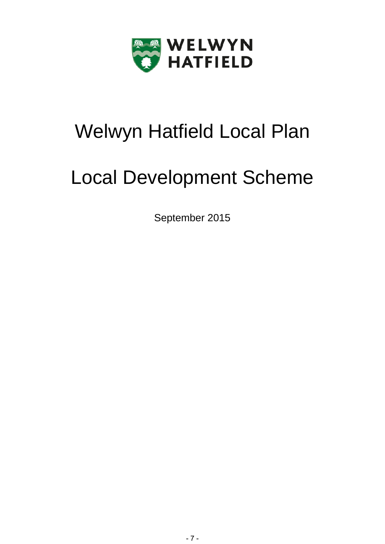

# Welwyn Hatfield Local Plan

# Local Development Scheme

September 2015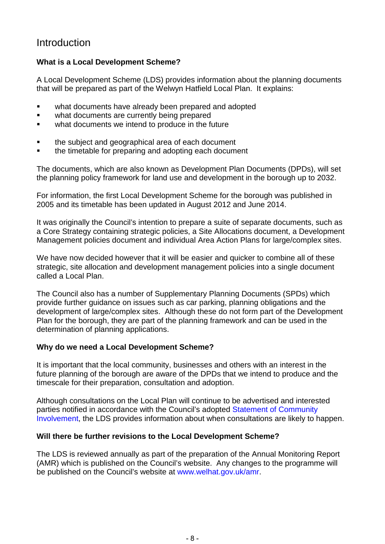# Introduction

# **What is a Local Development Scheme?**

A Local Development Scheme (LDS) provides information about the planning documents that will be prepared as part of the Welwyn Hatfield Local Plan. It explains:

- what documents have already been prepared and adopted
- what documents are currently being prepared
- **•** what documents we intend to produce in the future
- the subject and geographical area of each document
- the timetable for preparing and adopting each document

The documents, which are also known as Development Plan Documents (DPDs), will set the planning policy framework for land use and development in the borough up to 2032.

For information, the first Local Development Scheme for the borough was published in 2005 and its timetable has been updated in August 2012 and June 2014.

It was originally the Council's intention to prepare a suite of separate documents, such as a Core Strategy containing strategic policies, a Site Allocations document, a Development Management policies document and individual Area Action Plans for large/complex sites.

We have now decided however that it will be easier and quicker to combine all of these strategic, site allocation and development management policies into a single document called a Local Plan.

The Council also has a number of Supplementary Planning Documents (SPDs) which provide further guidance on issues such as car parking, planning obligations and the development of large/complex sites. Although these do not form part of the Development Plan for the borough, they are part of the planning framework and can be used in the determination of planning applications.

# **Why do we need a Local Development Scheme?**

It is important that the local community, businesses and others with an interest in the future planning of the borough are aware of the DPDs that we intend to produce and the timescale for their preparation, consultation and adoption.

Although consultations on the Local Plan will continue to be advertised and interested parties notified in accordance with the Council's adopted Statement of Community [Involvement,](http://www.welhat.gov.uk/SCI) the LDS provides information about when consultations are likely to happen.

# **Will there be further revisions to the Local Development Scheme?**

The LDS is reviewed annually as part of the preparation of the Annual Monitoring Report (AMR) which is published on the Council's website. Any changes to the programme will be published on the Council's website at [www.welhat.gov.uk/amr.](http://www.welhat.gov.uk/amr)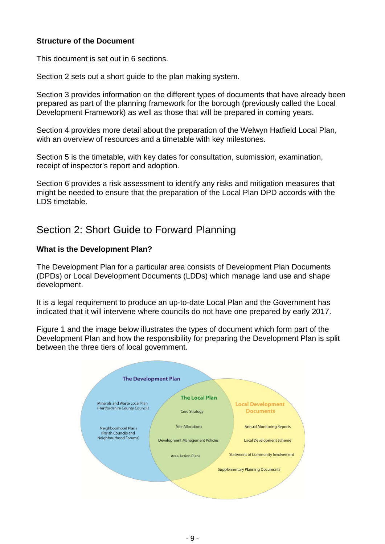## **Structure of the Document**

This document is set out in 6 sections.

Section 2 sets out a short guide to the plan making system.

Section 3 provides information on the different types of documents that have already been prepared as part of the planning framework for the borough (previously called the Local Development Framework) as well as those that will be prepared in coming years.

Section 4 provides more detail about the preparation of the Welwyn Hatfield Local Plan, with an overview of resources and a timetable with key milestones.

Section 5 is the timetable, with key dates for consultation, submission, examination, receipt of inspector's report and adoption.

Section 6 provides a risk assessment to identify any risks and mitigation measures that might be needed to ensure that the preparation of the Local Plan DPD accords with the LDS timetable.

# Section 2: Short Guide to Forward Planning

## **What is the Development Plan?**

The Development Plan for a particular area consists of Development Plan Documents (DPDs) or Local Development Documents (LDDs) which manage land use and shape development.

It is a legal requirement to produce an up-to-date Local Plan and the Government has indicated that it will intervene where councils do not have one prepared by early 2017.

Figure 1 and the image below illustrates the types of document which form part of the Development Plan and how the responsibility for preparing the Development Plan is split between the three tiers of local government.

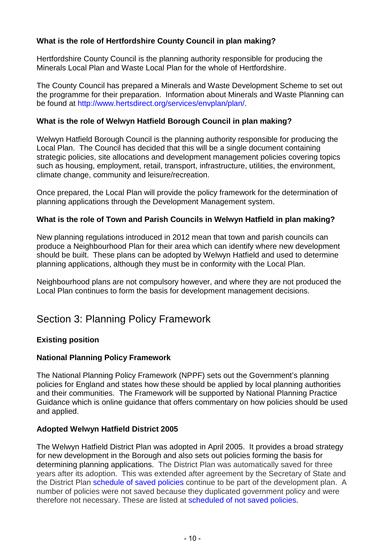# **What is the role of Hertfordshire County Council in plan making?**

Hertfordshire County Council is the planning authority responsible for producing the Minerals Local Plan and Waste Local Plan for the whole of Hertfordshire.

The County Council has prepared a Minerals and Waste Development Scheme to set out the programme for their preparation. Information about Minerals and Waste Planning can be found at http://www.hertsdirect.org/services/envplan/plan/.

## **What is the role of Welwyn Hatfield Borough Council in plan making?**

Welwyn Hatfield Borough Council is the planning authority responsible for producing the Local Plan. The Council has decided that this will be a single document containing strategic policies, site allocations and development management policies covering topics such as housing, employment, retail, transport, infrastructure, utilities, the environment, climate change, community and leisure/recreation.

Once prepared, the Local Plan will provide the policy framework for the determination of planning applications through the Development Management system.

## **What is the role of Town and Parish Councils in Welwyn Hatfield in plan making?**

New planning regulations introduced in 2012 mean that town and parish councils can produce a Neighbourhood Plan for their area which can identify where new development should be built. These plans can be adopted by Welwyn Hatfield and used to determine planning applications, although they must be in conformity with the Local Plan.

Neighbourhood plans are not compulsory however, and where they are not produced the Local Plan continues to form the basis for development management decisions.

# Section 3: Planning Policy Framework

#### **Existing position**

#### **National Planning Policy Framework**

The National Planning Policy Framework (NPPF) sets out the Government's planning policies for England and states how these should be applied by local planning authorities and their communities. The Framework will be supported by National Planning Practice Guidance which is online guidance that offers commentary on how policies should be used and applied.

#### **Adopted Welwyn Hatfield District 2005**

The Welwyn Hatfield District Plan was adopted in April 2005. It provides a broad strategy for new development in the Borough and also sets out policies forming the basis for determining planning applications. The District Plan was automatically saved for three years after its adoption. This was extended after agreement by the Secretary of State and the District Plan [schedule of saved policies](http://www.welhat.gov.uk/districtplan) continue to be part of the development plan. A number of policies were not saved because they duplicated government policy and were therefore not necessary. These are listed at [scheduled of not saved policies.](http://www.welhat.gov.uk/districtplan)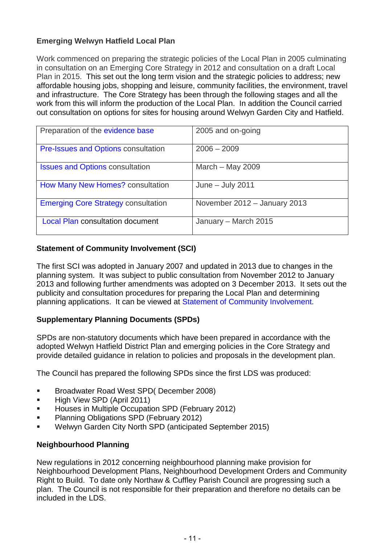# **Emerging Welwyn Hatfield Local Plan**

Work commenced on preparing the strategic policies of the Local Plan in 2005 culminating in consultation on an Emerging Core Strategy in 2012 and consultation on a draft Local Plan in 2015. This set out the long term vision and the strategic policies to address; new affordable housing jobs, shopping and leisure, community facilities, the environment, travel and infrastructure. The Core Strategy has been through the following stages and all the work from this will inform the production of the Local Plan. In addition the Council carried out consultation on options for sites for housing around Welwyn Garden City and Hatfield.

| Preparation of the evidence base           | 2005 and on-going            |
|--------------------------------------------|------------------------------|
| <b>Pre-Issues and Options consultation</b> | $2006 - 2009$                |
| <b>Issues and Options consultation</b>     | March $-$ May 2009           |
| How Many New Homes? consultation           | June $-$ July 2011           |
| <b>Emerging Core Strategy consultation</b> | November 2012 - January 2013 |
| <b>Local Plan consultation document</b>    | January - March 2015         |

# **Statement of Community Involvement (SCI)**

The first SCI was adopted in January 2007 and updated in 2013 due to changes in the planning system. It was subject to public consultation from November 2012 to January 2013 and following further amendments was adopted on 3 December 2013. It sets out the publicity and consultation procedures for preparing the Local Plan and determining planning applications. It can be viewed at [Statement of Community Involvement.](http://www.welhat.gov.uk/SCI)

# **Supplementary Planning Documents (SPDs)**

SPDs are non-statutory documents which have been prepared in accordance with the adopted Welwyn Hatfield District Plan and emerging policies in the Core Strategy and provide detailed guidance in relation to policies and proposals in the development plan.

The Council has prepared the following SPDs since the first LDS was produced:

- Broadwater Road West SPD( December 2008)
- High View SPD (April 2011)
- **Houses in Multiple Occupation SPD (February 2012)**
- **Planning Obligations SPD (February 2012)**
- Welwyn Garden City North SPD (anticipated September 2015)

# **Neighbourhood Planning**

New regulations in 2012 concerning neighbourhood planning make provision for Neighbourhood Development Plans, Neighbourhood Development Orders and Community Right to Build. To date only Northaw & Cuffley Parish Council are progressing such a plan. The Council is not responsible for their preparation and therefore no details can be included in the LDS.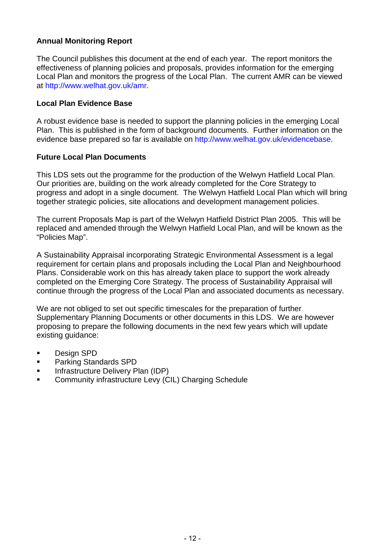# **Annual Monitoring Report**

The Council publishes this document at the end of each year. The report monitors the effectiveness of planning policies and proposals, provides information for the emerging Local Plan and monitors the progress of the Local Plan. The current AMR can be viewed at http://www.welhat.gov.uk/amr.

#### **Local Plan Evidence Base**

A robust evidence base is needed to support the planning policies in the emerging Local Plan. This is published in the form of background documents. Further information on the evidence base prepared so far is available on http://www.welhat.gov.uk/evidencebase.

#### **Future Local Plan Documents**

This LDS sets out the programme for the production of the Welwyn Hatfield Local Plan. Our priorities are, building on the work already completed for the Core Strategy to progress and adopt in a single document. The Welwyn Hatfield Local Plan which will bring together strategic policies, site allocations and development management policies.

The current Proposals Map is part of the Welwyn Hatfield District Plan 2005. This will be replaced and amended through the Welwyn Hatfield Local Plan, and will be known as the "Policies Map".

A Sustainability Appraisal incorporating Strategic Environmental Assessment is a legal requirement for certain plans and proposals including the Local Plan and Neighbourhood Plans. Considerable work on this has already taken place to support the work already completed on the Emerging Core Strategy. The process of Sustainability Appraisal will continue through the progress of the Local Plan and associated documents as necessary.

We are not obliged to set out specific timescales for the preparation of further Supplementary Planning Documents or other documents in this LDS. We are however proposing to prepare the following documents in the next few years which will update existing guidance:

- **Design SPD**
- **Parking Standards SPD**
- **Infrastructure Delivery Plan (IDP)**
- **EXECOMMUNITY Infrastructure Levy (CIL) Charging Schedule**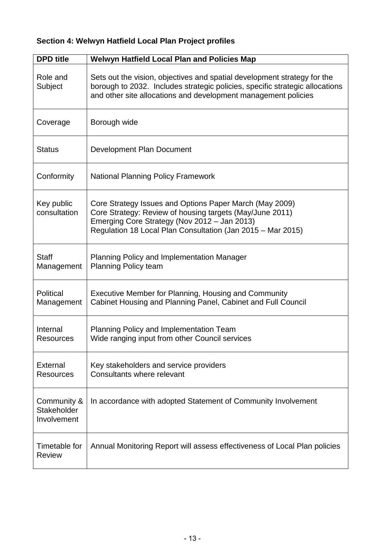# **Section 4: Welwyn Hatfield Local Plan Project profiles**

| <b>DPD</b> title                          | <b>Welwyn Hatfield Local Plan and Policies Map</b>                                                                                                                                                                                 |
|-------------------------------------------|------------------------------------------------------------------------------------------------------------------------------------------------------------------------------------------------------------------------------------|
| Role and<br>Subject                       | Sets out the vision, objectives and spatial development strategy for the<br>borough to 2032. Includes strategic policies, specific strategic allocations<br>and other site allocations and development management policies         |
| Coverage                                  | Borough wide                                                                                                                                                                                                                       |
| <b>Status</b>                             | Development Plan Document                                                                                                                                                                                                          |
| Conformity                                | <b>National Planning Policy Framework</b>                                                                                                                                                                                          |
| Key public<br>consultation                | Core Strategy Issues and Options Paper March (May 2009)<br>Core Strategy: Review of housing targets (May/June 2011)<br>Emerging Core Strategy (Nov 2012 - Jan 2013)<br>Regulation 18 Local Plan Consultation (Jan 2015 - Mar 2015) |
| <b>Staff</b><br>Management                | Planning Policy and Implementation Manager<br><b>Planning Policy team</b>                                                                                                                                                          |
| Political<br>Management                   | Executive Member for Planning, Housing and Community<br>Cabinet Housing and Planning Panel, Cabinet and Full Council                                                                                                               |
| Internal<br>Resources                     | Planning Policy and Implementation Team<br>Wide ranging input from other Council services                                                                                                                                          |
| External<br><b>Resources</b>              | Key stakeholders and service providers<br>Consultants where relevant                                                                                                                                                               |
| Community &<br>Stakeholder<br>Involvement | In accordance with adopted Statement of Community Involvement                                                                                                                                                                      |
| Timetable for<br><b>Review</b>            | Annual Monitoring Report will assess effectiveness of Local Plan policies                                                                                                                                                          |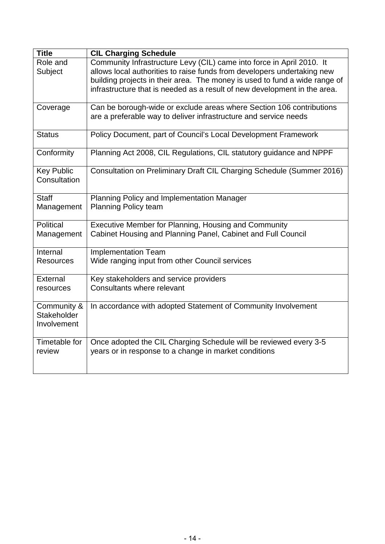| <b>Title</b>                              | <b>CIL Charging Schedule</b>                                                                                                                                                                                                                                                                                |
|-------------------------------------------|-------------------------------------------------------------------------------------------------------------------------------------------------------------------------------------------------------------------------------------------------------------------------------------------------------------|
| Role and<br>Subject                       | Community Infrastructure Levy (CIL) came into force in April 2010. It<br>allows local authorities to raise funds from developers undertaking new<br>building projects in their area. The money is used to fund a wide range of<br>infrastructure that is needed as a result of new development in the area. |
| Coverage                                  | Can be borough-wide or exclude areas where Section 106 contributions<br>are a preferable way to deliver infrastructure and service needs                                                                                                                                                                    |
| <b>Status</b>                             | Policy Document, part of Council's Local Development Framework                                                                                                                                                                                                                                              |
| Conformity                                | Planning Act 2008, CIL Regulations, CIL statutory guidance and NPPF                                                                                                                                                                                                                                         |
| <b>Key Public</b><br>Consultation         | Consultation on Preliminary Draft CIL Charging Schedule (Summer 2016)                                                                                                                                                                                                                                       |
| <b>Staff</b><br>Management                | Planning Policy and Implementation Manager<br><b>Planning Policy team</b>                                                                                                                                                                                                                                   |
| Political<br>Management                   | Executive Member for Planning, Housing and Community<br>Cabinet Housing and Planning Panel, Cabinet and Full Council                                                                                                                                                                                        |
| Internal<br><b>Resources</b>              | <b>Implementation Team</b><br>Wide ranging input from other Council services                                                                                                                                                                                                                                |
| External<br>resources                     | Key stakeholders and service providers<br>Consultants where relevant                                                                                                                                                                                                                                        |
| Community &<br>Stakeholder<br>Involvement | In accordance with adopted Statement of Community Involvement                                                                                                                                                                                                                                               |
| Timetable for<br>review                   | Once adopted the CIL Charging Schedule will be reviewed every 3-5<br>years or in response to a change in market conditions                                                                                                                                                                                  |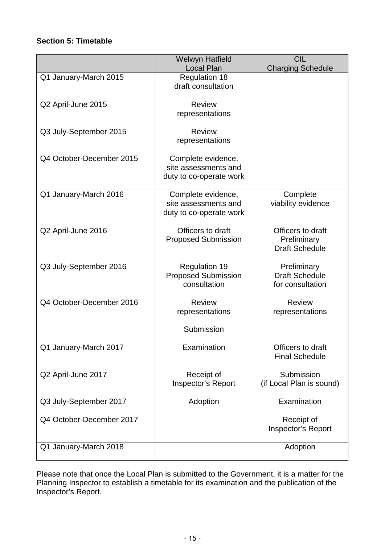## **Section 5: Timetable**

|                          | <b>Welwyn Hatfield</b>                     | <b>CIL</b>                                |
|--------------------------|--------------------------------------------|-------------------------------------------|
| Q1 January-March 2015    | <b>Local Plan</b><br><b>Regulation 18</b>  | <b>Charging Schedule</b>                  |
|                          | draft consultation                         |                                           |
|                          |                                            |                                           |
| Q2 April-June 2015       | <b>Review</b>                              |                                           |
|                          | representations                            |                                           |
|                          | <b>Review</b>                              |                                           |
| Q3 July-September 2015   | representations                            |                                           |
|                          |                                            |                                           |
| Q4 October-December 2015 | Complete evidence,                         |                                           |
|                          | site assessments and                       |                                           |
|                          | duty to co-operate work                    |                                           |
|                          |                                            |                                           |
| Q1 January-March 2016    | Complete evidence,<br>site assessments and | Complete                                  |
|                          | duty to co-operate work                    | viability evidence                        |
|                          |                                            |                                           |
| Q2 April-June 2016       | Officers to draft                          | Officers to draft                         |
|                          | <b>Proposed Submission</b>                 | Preliminary                               |
|                          |                                            | <b>Draft Schedule</b>                     |
|                          |                                            |                                           |
| Q3 July-September 2016   | <b>Regulation 19</b>                       | Preliminary                               |
|                          | <b>Proposed Submission</b><br>consultation | <b>Draft Schedule</b><br>for consultation |
|                          |                                            |                                           |
| Q4 October-December 2016 | <b>Review</b>                              | <b>Review</b>                             |
|                          | representations                            | representations                           |
|                          |                                            |                                           |
|                          | Submission                                 |                                           |
| Q1 January-March 2017    | Examination                                | Officers to draft                         |
|                          |                                            | <b>Final Schedule</b>                     |
|                          |                                            |                                           |
| Q2 April-June 2017       | Receipt of                                 | Submission                                |
|                          | Inspector's Report                         | (if Local Plan is sound)                  |
|                          |                                            |                                           |
| Q3 July-September 2017   | Adoption                                   | Examination                               |
| Q4 October-December 2017 |                                            | Receipt of                                |
|                          |                                            | Inspector's Report                        |
|                          |                                            |                                           |
| Q1 January-March 2018    |                                            | Adoption                                  |
|                          |                                            |                                           |

Please note that once the Local Plan is submitted to the Government, it is a matter for the Planning Inspector to establish a timetable for its examination and the publication of the Inspector's Report.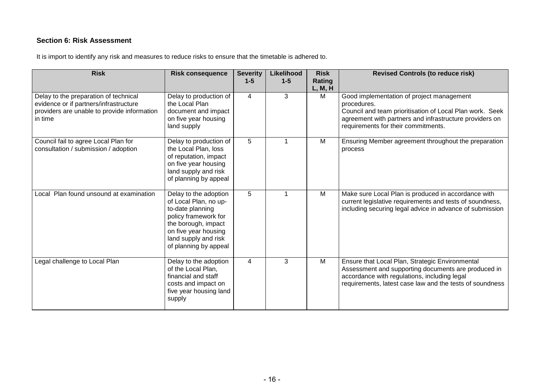## **Section 6: Risk Assessment**

It is import to identify any risk and measures to reduce risks to ensure that the timetable is adhered to.

| <b>Risk</b>                                                                                                                               | <b>Risk consequence</b>                                                                                                                                                                    | <b>Severity</b><br>$1 - 5$ | Likelihood<br>$1 - 5$ | <b>Risk</b><br>Rating<br>L, M, H | <b>Revised Controls (to reduce risk)</b>                                                                                                                                                                               |
|-------------------------------------------------------------------------------------------------------------------------------------------|--------------------------------------------------------------------------------------------------------------------------------------------------------------------------------------------|----------------------------|-----------------------|----------------------------------|------------------------------------------------------------------------------------------------------------------------------------------------------------------------------------------------------------------------|
| Delay to the preparation of technical<br>evidence or if partners/infrastructure<br>providers are unable to provide information<br>in time | Delay to production of<br>the Local Plan<br>document and impact<br>on five year housing<br>land supply                                                                                     | $\overline{4}$             | 3                     | M                                | Good implementation of project management<br>procedures.<br>Council and team prioritisation of Local Plan work. Seek<br>agreement with partners and infrastructure providers on<br>requirements for their commitments. |
| Council fail to agree Local Plan for<br>consultation / submission / adoption                                                              | Delay to production of<br>the Local Plan, loss<br>of reputation, impact<br>on five year housing<br>land supply and risk<br>of planning by appeal                                           | 5                          |                       | M                                | Ensuring Member agreement throughout the preparation<br>process                                                                                                                                                        |
| Local Plan found unsound at examination                                                                                                   | Delay to the adoption<br>of Local Plan, no up-<br>to-date planning<br>policy framework for<br>the borough, impact<br>on five year housing<br>land supply and risk<br>of planning by appeal | 5                          |                       | M                                | Make sure Local Plan is produced in accordance with<br>current legislative requirements and tests of soundness,<br>including securing legal advice in advance of submission                                            |
| Legal challenge to Local Plan                                                                                                             | Delay to the adoption<br>of the Local Plan,<br>financial and staff<br>costs and impact on<br>five year housing land<br>supply                                                              | $\overline{4}$             | 3                     | M                                | Ensure that Local Plan, Strategic Environmental<br>Assessment and supporting documents are produced in<br>accordance with regulations, including legal<br>requirements, latest case law and the tests of soundness     |